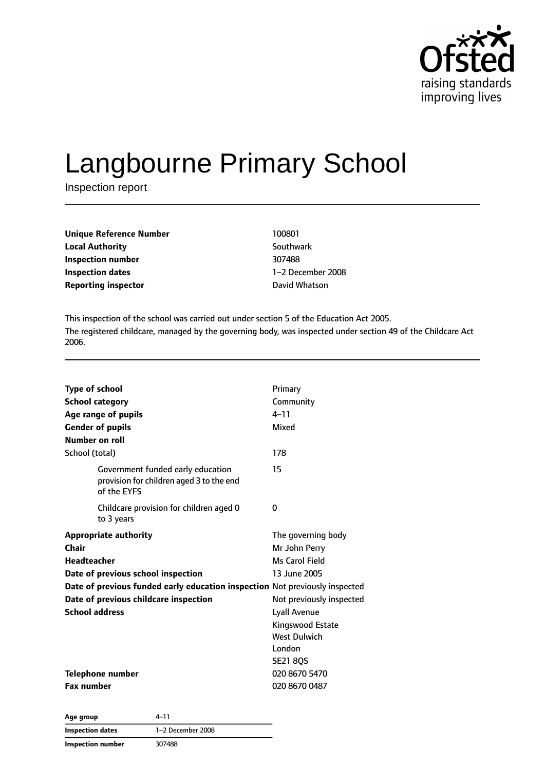

# Langbourne Primary School

Inspection report

| <b>Unique Reference Number</b><br><b>Local Authority</b> | 100801   |
|----------------------------------------------------------|----------|
|                                                          | Southw   |
| Inspection number                                        | 307488   |
| Inspection dates                                         | $1-2$ De |
| Reporting inspector                                      | David V  |

**Local Authority** Southwark **Inspection dates** 1–2 December 2008 **David Whatson** 

This inspection of the school was carried out under section 5 of the Education Act 2005. The registered childcare, managed by the governing body, was inspected under section 49 of the Childcare Act 2006.

| <b>Type of school</b><br><b>School category</b><br>Age range of pupils<br><b>Gender of pupils</b><br>Number on roll                                                                                                                                | Primary<br>Community<br>$4 - 11$<br>Mixed<br>178                                                                                                                                                 |
|----------------------------------------------------------------------------------------------------------------------------------------------------------------------------------------------------------------------------------------------------|--------------------------------------------------------------------------------------------------------------------------------------------------------------------------------------------------|
| School (total)<br>Government funded early education<br>provision for children aged 3 to the end<br>of the EYFS                                                                                                                                     | 15                                                                                                                                                                                               |
| Childcare provision for children aged 0<br>to 3 years                                                                                                                                                                                              | 0                                                                                                                                                                                                |
| <b>Appropriate authority</b><br>Chair<br><b>Headteacher</b><br>Date of previous school inspection<br>Date of previous funded early education inspection Not previously inspected<br>Date of previous childcare inspection<br><b>School address</b> | The governing body<br>Mr John Perry<br>Ms Carol Field<br>13 June 2005<br>Not previously inspected<br><b>Lyall Avenue</b><br>Kingswood Estate<br><b>West Dulwich</b><br>London<br><b>SE21 80S</b> |
| Telephone number<br><b>Fax number</b>                                                                                                                                                                                                              | 020 8670 5470<br>020 8670 0487                                                                                                                                                                   |

**Age group** 4–11 **Inspection dates** 1–2 December 2008 **Inspection number** 307488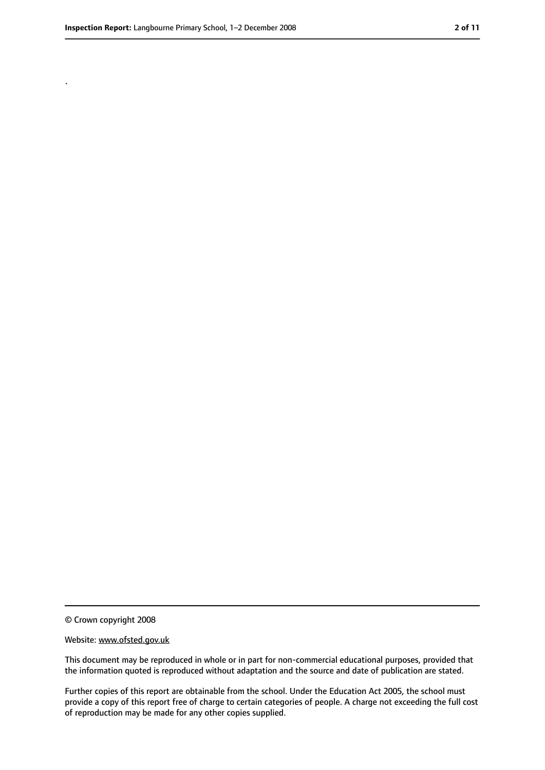.

<sup>©</sup> Crown copyright 2008

Website: www.ofsted.gov.uk

This document may be reproduced in whole or in part for non-commercial educational purposes, provided that the information quoted is reproduced without adaptation and the source and date of publication are stated.

Further copies of this report are obtainable from the school. Under the Education Act 2005, the school must provide a copy of this report free of charge to certain categories of people. A charge not exceeding the full cost of reproduction may be made for any other copies supplied.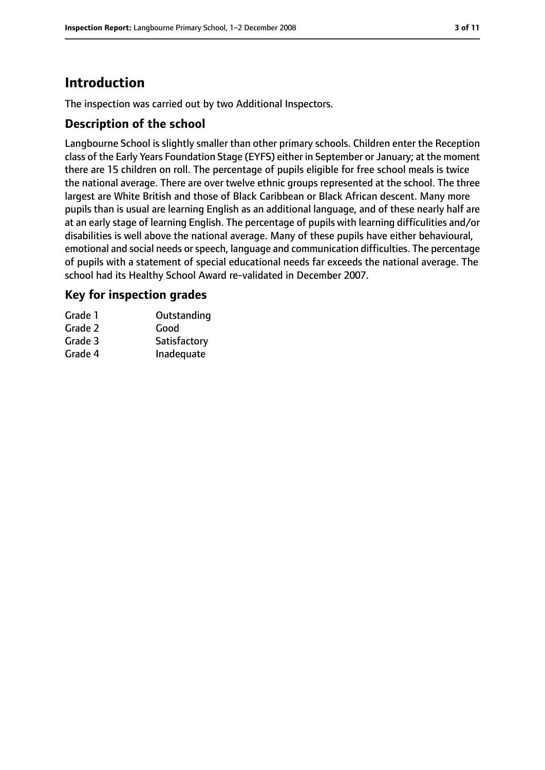# **Introduction**

The inspection was carried out by two Additional Inspectors.

## **Description of the school**

Langbourne School is slightly smaller than other primary schools. Children enter the Reception class of the Early Years Foundation Stage (EYFS) either in September or January; at the moment there are 15 children on roll. The percentage of pupils eligible for free school meals is twice the national average. There are over twelve ethnic groups represented at the school. The three largest are White British and those of Black Caribbean or Black African descent. Many more pupils than is usual are learning English as an additional language, and of these nearly half are at an early stage of learning English. The percentage of pupils with learning difficulities and/or disabilities is well above the national average. Many of these pupils have either behavioural, emotional and social needs or speech, language and communication difficulties. The percentage of pupils with a statement of special educational needs far exceeds the national average. The school had its Healthy School Award re-validated in December 2007.

## **Key for inspection grades**

| Grade 1 | Outstanding  |
|---------|--------------|
| Grade 2 | Good         |
| Grade 3 | Satisfactory |
| Grade 4 | Inadequate   |
|         |              |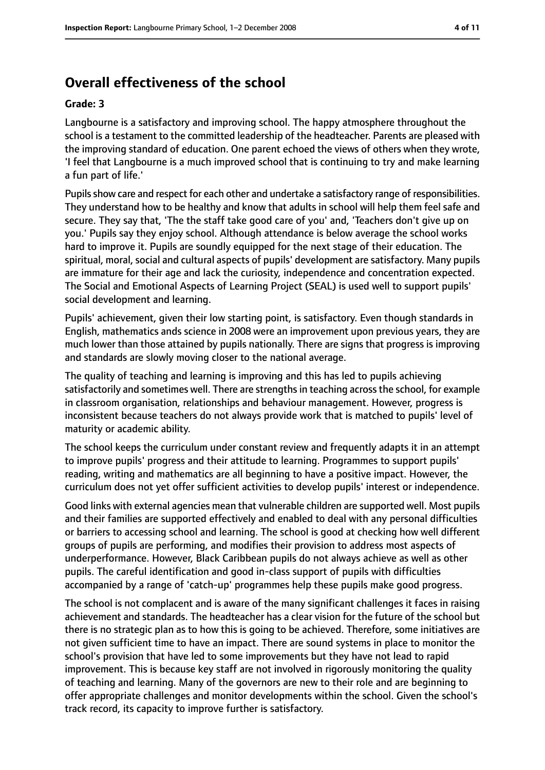# **Overall effectiveness of the school**

#### **Grade: 3**

Langbourne is a satisfactory and improving school. The happy atmosphere throughout the school is a testament to the committed leadership of the headteacher. Parents are pleased with the improving standard of education. One parent echoed the views of others when they wrote, 'I feel that Langbourne is a much improved school that is continuing to try and make learning a fun part of life.'

Pupils show care and respect for each other and undertake a satisfactory range of responsibilities. They understand how to be healthy and know that adults in school will help them feel safe and secure. They say that, 'The the staff take good care of you' and, 'Teachers don't give up on you.' Pupils say they enjoy school. Although attendance is below average the school works hard to improve it. Pupils are soundly equipped for the next stage of their education. The spiritual, moral, social and cultural aspects of pupils' development are satisfactory. Many pupils are immature for their age and lack the curiosity, independence and concentration expected. The Social and Emotional Aspects of Learning Project (SEAL) is used well to support pupils' social development and learning.

Pupils' achievement, given their low starting point, is satisfactory. Even though standards in English, mathematics ands science in 2008 were an improvement upon previous years, they are much lower than those attained by pupils nationally. There are signs that progress is improving and standards are slowly moving closer to the national average.

The quality of teaching and learning is improving and this has led to pupils achieving satisfactorily and sometimes well. There are strengths in teaching across the school, for example in classroom organisation, relationships and behaviour management. However, progress is inconsistent because teachers do not always provide work that is matched to pupils' level of maturity or academic ability.

The school keeps the curriculum under constant review and frequently adapts it in an attempt to improve pupils' progress and their attitude to learning. Programmes to support pupils' reading, writing and mathematics are all beginning to have a positive impact. However, the curriculum does not yet offer sufficient activities to develop pupils' interest or independence.

Good links with external agencies mean that vulnerable children are supported well. Most pupils and their families are supported effectively and enabled to deal with any personal difficulties or barriers to accessing school and learning. The school is good at checking how well different groups of pupils are performing, and modifies their provision to address most aspects of underperformance. However, Black Caribbean pupils do not always achieve as well as other pupils. The careful identification and good in-class support of pupils with difficulties accompanied by a range of 'catch-up' programmes help these pupils make good progress.

The school is not complacent and is aware of the many significant challenges it faces in raising achievement and standards. The headteacher has a clear vision for the future of the school but there is no strategic plan as to how this is going to be achieved. Therefore, some initiatives are not given sufficient time to have an impact. There are sound systems in place to monitor the school's provision that have led to some improvements but they have not lead to rapid improvement. This is because key staff are not involved in rigorously monitoring the quality of teaching and learning. Many of the governors are new to their role and are beginning to offer appropriate challenges and monitor developments within the school. Given the school's track record, its capacity to improve further is satisfactory.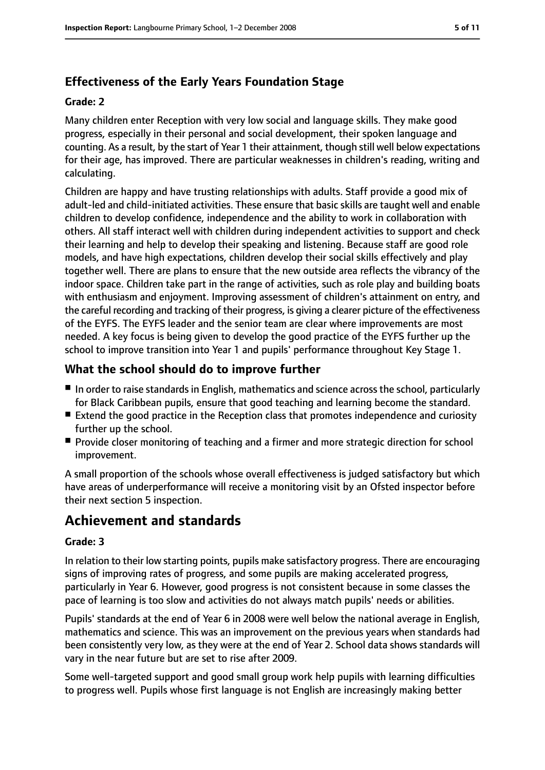# **Effectiveness of the Early Years Foundation Stage**

#### **Grade: 2**

Many children enter Reception with very low social and language skills. They make good progress, especially in their personal and social development, their spoken language and counting. As a result, by the start of Year 1 their attainment, though still well below expectations for their age, has improved. There are particular weaknesses in children's reading, writing and calculating.

Children are happy and have trusting relationships with adults. Staff provide a good mix of adult-led and child-initiated activities. These ensure that basic skills are taught well and enable children to develop confidence, independence and the ability to work in collaboration with others. All staff interact well with children during independent activities to support and check their learning and help to develop their speaking and listening. Because staff are good role models, and have high expectations, children develop their social skills effectively and play together well. There are plans to ensure that the new outside area reflects the vibrancy of the indoor space. Children take part in the range of activities, such as role play and building boats with enthusiasm and enjoyment. Improving assessment of children's attainment on entry, and the careful recording and tracking of their progress, is giving a clearer picture of the effectiveness of the EYFS. The EYFS leader and the senior team are clear where improvements are most needed. A key focus is being given to develop the good practice of the EYFS further up the school to improve transition into Year 1 and pupils' performance throughout Key Stage 1.

# **What the school should do to improve further**

- In order to raise standards in English, mathematics and science across the school, particularly for Black Caribbean pupils, ensure that good teaching and learning become the standard.
- Extend the good practice in the Reception class that promotes independence and curiosity further up the school.
- Provide closer monitoring of teaching and a firmer and more strategic direction for school improvement.

A small proportion of the schools whose overall effectiveness is judged satisfactory but which have areas of underperformance will receive a monitoring visit by an Ofsted inspector before their next section 5 inspection.

# **Achievement and standards**

#### **Grade: 3**

In relation to their low starting points, pupils make satisfactory progress. There are encouraging signs of improving rates of progress, and some pupils are making accelerated progress, particularly in Year 6. However, good progress is not consistent because in some classes the pace of learning is too slow and activities do not always match pupils' needs or abilities.

Pupils' standards at the end of Year 6 in 2008 were well below the national average in English, mathematics and science. This was an improvement on the previous years when standards had been consistently very low, as they were at the end of Year 2. School data shows standards will vary in the near future but are set to rise after 2009.

Some well-targeted support and good small group work help pupils with learning difficulties to progress well. Pupils whose first language is not English are increasingly making better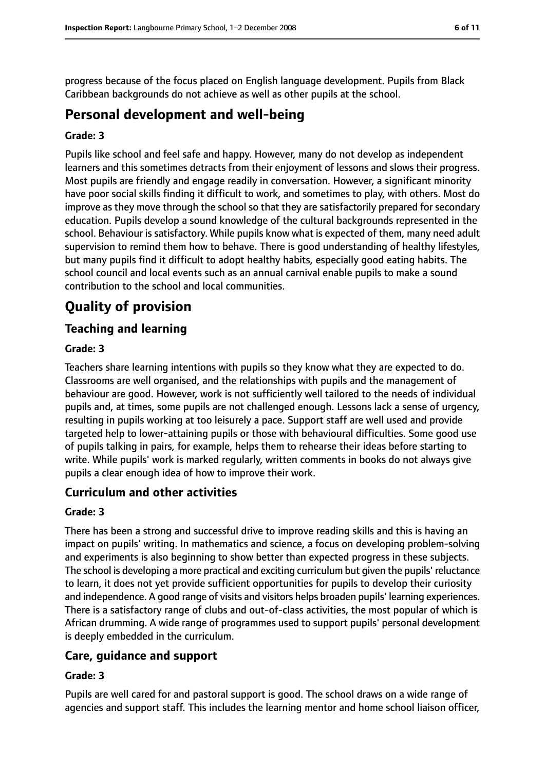progress because of the focus placed on English language development. Pupils from Black Caribbean backgrounds do not achieve as well as other pupils at the school.

# **Personal development and well-being**

#### **Grade: 3**

Pupils like school and feel safe and happy. However, many do not develop as independent learners and this sometimes detracts from their enjoyment of lessons and slows their progress. Most pupils are friendly and engage readily in conversation. However, a significant minority have poor social skills finding it difficult to work, and sometimes to play, with others. Most do improve as they move through the school so that they are satisfactorily prepared for secondary education. Pupils develop a sound knowledge of the cultural backgrounds represented in the school. Behaviour is satisfactory. While pupils know what is expected of them, many need adult supervision to remind them how to behave. There is good understanding of healthy lifestyles, but many pupils find it difficult to adopt healthy habits, especially good eating habits. The school council and local events such as an annual carnival enable pupils to make a sound contribution to the school and local communities.

# **Quality of provision**

## **Teaching and learning**

#### **Grade: 3**

Teachers share learning intentions with pupils so they know what they are expected to do. Classrooms are well organised, and the relationships with pupils and the management of behaviour are good. However, work is not sufficiently well tailored to the needs of individual pupils and, at times, some pupils are not challenged enough. Lessons lack a sense of urgency, resulting in pupils working at too leisurely a pace. Support staff are well used and provide targeted help to lower-attaining pupils or those with behavioural difficulties. Some good use of pupils talking in pairs, for example, helps them to rehearse their ideas before starting to write. While pupils' work is marked regularly, written comments in books do not always give pupils a clear enough idea of how to improve their work.

### **Curriculum and other activities**

#### **Grade: 3**

There has been a strong and successful drive to improve reading skills and this is having an impact on pupils' writing. In mathematics and science, a focus on developing problem-solving and experiments is also beginning to show better than expected progress in these subjects. The school is developing a more practical and exciting curriculum but given the pupils' reluctance to learn, it does not yet provide sufficient opportunities for pupils to develop their curiosity and independence. A good range of visits and visitors helps broaden pupils' learning experiences. There is a satisfactory range of clubs and out-of-class activities, the most popular of which is African drumming. A wide range of programmes used to support pupils' personal development is deeply embedded in the curriculum.

# **Care, guidance and support**

#### **Grade: 3**

Pupils are well cared for and pastoral support is good. The school draws on a wide range of agencies and support staff. This includes the learning mentor and home school liaison officer,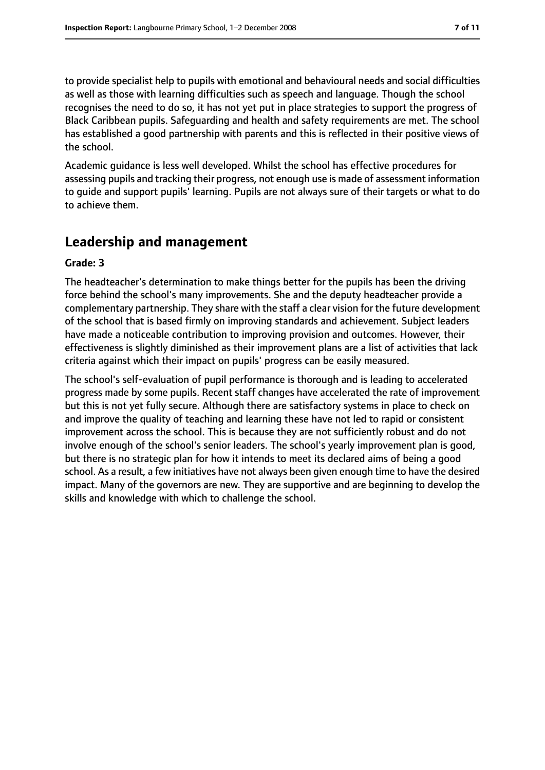to provide specialist help to pupils with emotional and behavioural needs and social difficulties as well as those with learning difficulties such as speech and language. Though the school recognises the need to do so, it has not yet put in place strategies to support the progress of Black Caribbean pupils. Safeguarding and health and safety requirements are met. The school has established a good partnership with parents and this is reflected in their positive views of the school.

Academic guidance is less well developed. Whilst the school has effective procedures for assessing pupils and tracking their progress, not enough use is made of assessment information to guide and support pupils' learning. Pupils are not always sure of their targets or what to do to achieve them.

# **Leadership and management**

#### **Grade: 3**

The headteacher's determination to make things better for the pupils has been the driving force behind the school's many improvements. She and the deputy headteacher provide a complementary partnership. They share with the staff a clear vision for the future development of the school that is based firmly on improving standards and achievement. Subject leaders have made a noticeable contribution to improving provision and outcomes. However, their effectiveness is slightly diminished as their improvement plans are a list of activities that lack criteria against which their impact on pupils' progress can be easily measured.

The school's self-evaluation of pupil performance is thorough and is leading to accelerated progress made by some pupils. Recent staff changes have accelerated the rate of improvement but this is not yet fully secure. Although there are satisfactory systems in place to check on and improve the quality of teaching and learning these have not led to rapid or consistent improvement across the school. This is because they are not sufficiently robust and do not involve enough of the school's senior leaders. The school's yearly improvement plan is good, but there is no strategic plan for how it intends to meet its declared aims of being a good school. As a result, a few initiatives have not always been given enough time to have the desired impact. Many of the governors are new. They are supportive and are beginning to develop the skills and knowledge with which to challenge the school.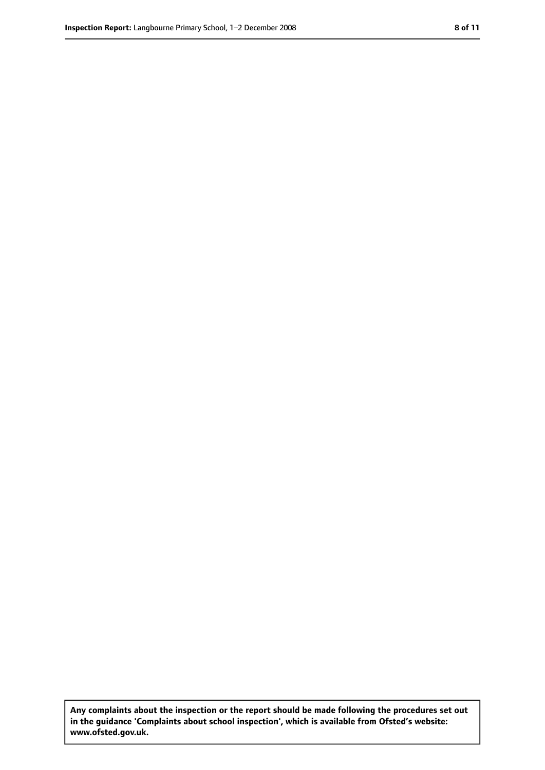**Any complaints about the inspection or the report should be made following the procedures set out in the guidance 'Complaints about school inspection', which is available from Ofsted's website: www.ofsted.gov.uk.**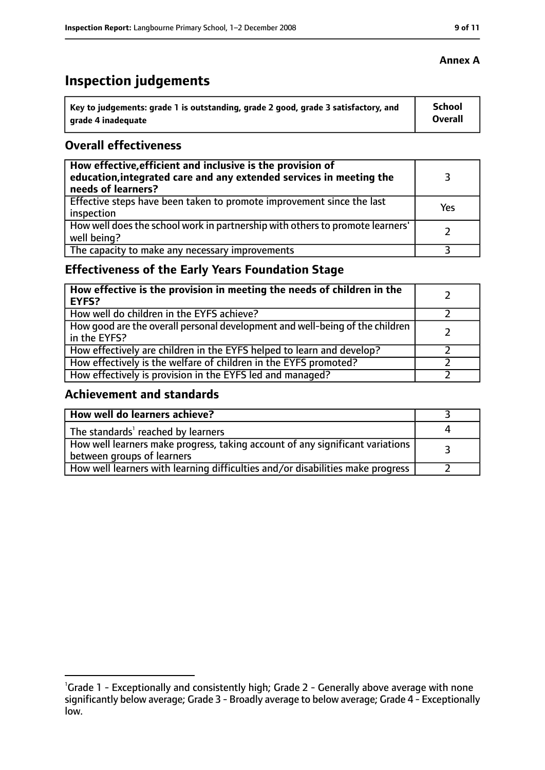# **Inspection judgements**

| Key to judgements: grade 1 is outstanding, grade 2 good, grade 3 satisfactory, and | <b>School</b>  |
|------------------------------------------------------------------------------------|----------------|
| arade 4 inadequate                                                                 | <b>Overall</b> |

## **Overall effectiveness**

| How effective, efficient and inclusive is the provision of<br>education, integrated care and any extended services in meeting the<br>needs of learners? |     |
|---------------------------------------------------------------------------------------------------------------------------------------------------------|-----|
| Effective steps have been taken to promote improvement since the last<br>inspection                                                                     | Yes |
| How well does the school work in partnership with others to promote learners'<br>well being?                                                            |     |
| The capacity to make any necessary improvements                                                                                                         |     |

# **Effectiveness of the Early Years Foundation Stage**

| How effective is the provision in meeting the needs of children in the<br>l EYFS?              |  |
|------------------------------------------------------------------------------------------------|--|
| How well do children in the EYFS achieve?                                                      |  |
| How good are the overall personal development and well-being of the children<br>I in the EYFS? |  |
| How effectively are children in the EYFS helped to learn and develop?                          |  |
| How effectively is the welfare of children in the EYFS promoted?                               |  |
| How effectively is provision in the EYFS led and managed?                                      |  |

# **Achievement and standards**

| How well do learners achieve?                                                                               |  |
|-------------------------------------------------------------------------------------------------------------|--|
| The standards <sup>1</sup> reached by learners                                                              |  |
| How well learners make progress, taking account of any significant variations<br>between groups of learners |  |
| How well learners with learning difficulties and/or disabilities make progress                              |  |

## **Annex A**

<sup>&</sup>lt;sup>1</sup>Grade 1 - Exceptionally and consistently high; Grade 2 - Generally above average with none significantly below average; Grade 3 - Broadly average to below average; Grade 4 - Exceptionally low.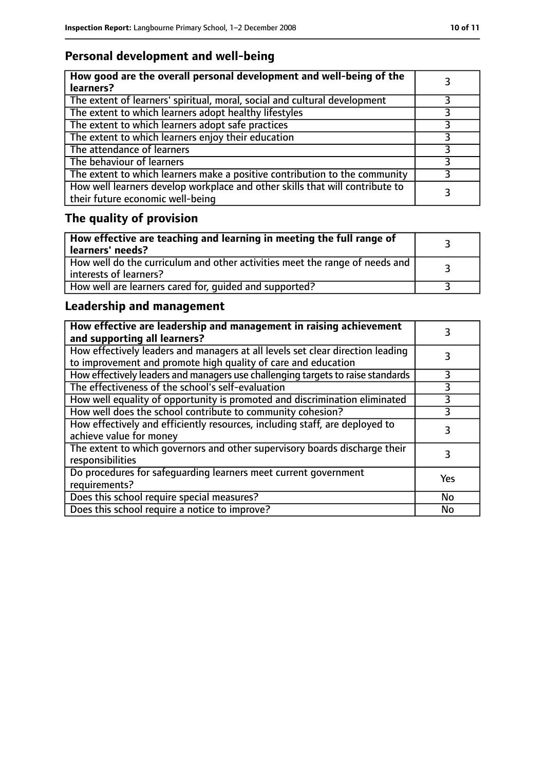# **Personal development and well-being**

| How good are the overall personal development and well-being of the<br>learners?                                 |  |
|------------------------------------------------------------------------------------------------------------------|--|
| The extent of learners' spiritual, moral, social and cultural development                                        |  |
| The extent to which learners adopt healthy lifestyles                                                            |  |
| The extent to which learners adopt safe practices                                                                |  |
| The extent to which learners enjoy their education                                                               |  |
| The attendance of learners                                                                                       |  |
| The behaviour of learners                                                                                        |  |
| The extent to which learners make a positive contribution to the community                                       |  |
| How well learners develop workplace and other skills that will contribute to<br>their future economic well-being |  |

# **The quality of provision**

| How effective are teaching and learning in meeting the full range of<br>learners' needs?              |  |
|-------------------------------------------------------------------------------------------------------|--|
| How well do the curriculum and other activities meet the range of needs and<br>interests of learners? |  |
| How well are learners cared for, quided and supported?                                                |  |

# **Leadership and management**

| How effective are leadership and management in raising achievement<br>and supporting all learners?                                              |     |
|-------------------------------------------------------------------------------------------------------------------------------------------------|-----|
| How effectively leaders and managers at all levels set clear direction leading<br>to improvement and promote high quality of care and education |     |
| How effectively leaders and managers use challenging targets to raise standards                                                                 |     |
| The effectiveness of the school's self-evaluation                                                                                               | 3   |
| How well equality of opportunity is promoted and discrimination eliminated                                                                      | 3   |
| How well does the school contribute to community cohesion?                                                                                      | 3   |
| How effectively and efficiently resources, including staff, are deployed to<br>achieve value for money                                          | 3   |
| The extent to which governors and other supervisory boards discharge their<br>responsibilities                                                  |     |
| Do procedures for safequarding learners meet current government<br>requirements?                                                                | Yes |
| Does this school require special measures?                                                                                                      | No  |
| Does this school require a notice to improve?                                                                                                   | No  |